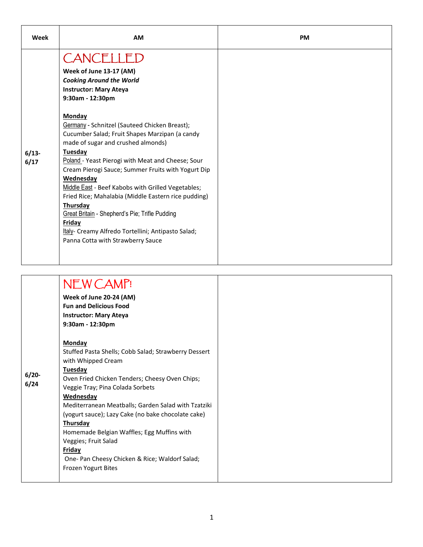| CANCELLED<br>Week of June 13-17 (AM)<br><b>Cooking Around the World</b><br><b>Instructor: Mary Ateya</b><br>9:30am - 12:30pm<br><b>Monday</b><br>Germany - Schnitzel (Sauteed Chicken Breast);<br>Cucumber Salad; Fruit Shapes Marzipan (a candy<br>made of sugar and crushed almonds)<br>Tuesday<br>$6/13-$<br>Poland - Yeast Pierogi with Meat and Cheese; Sour<br>6/17<br>Cream Pierogi Sauce; Summer Fruits with Yogurt Dip<br>Wednesday<br>Middle East - Beef Kabobs with Grilled Vegetables;<br>Fried Rice; Mahalabia (Middle Eastern rice pudding)<br>Thursday<br>Great Britain - Shepherd's Pie; Trifle Pudding<br>Friday<br>Italy- Creamy Alfredo Tortellini; Antipasto Salad;<br>Panna Cotta with Strawberry Sauce | Week | <b>AM</b> | <b>PM</b> |
|------------------------------------------------------------------------------------------------------------------------------------------------------------------------------------------------------------------------------------------------------------------------------------------------------------------------------------------------------------------------------------------------------------------------------------------------------------------------------------------------------------------------------------------------------------------------------------------------------------------------------------------------------------------------------------------------------------------------------|------|-----------|-----------|
|                                                                                                                                                                                                                                                                                                                                                                                                                                                                                                                                                                                                                                                                                                                              |      |           |           |

|                 | NEW CAMP!<br>Week of June 20-24 (AM)<br><b>Fun and Delicious Food</b><br><b>Instructor: Mary Ateya</b><br>$9:30$ am - 12:30pm<br>Monday                                                                                                                                                                                                                                                                                                             |
|-----------------|-----------------------------------------------------------------------------------------------------------------------------------------------------------------------------------------------------------------------------------------------------------------------------------------------------------------------------------------------------------------------------------------------------------------------------------------------------|
| $6/20-$<br>6/24 | Stuffed Pasta Shells; Cobb Salad; Strawberry Dessert<br>with Whipped Cream<br>Tuesday<br>Oven Fried Chicken Tenders; Cheesy Oven Chips;<br>Veggie Tray; Pina Colada Sorbets<br>Wednesday<br>Mediterranean Meatballs; Garden Salad with Tzatziki<br>(yogurt sauce); Lazy Cake (no bake chocolate cake)<br>Thursday<br>Homemade Belgian Waffles; Egg Muffins with<br>Veggies; Fruit Salad<br>Friday<br>One- Pan Cheesy Chicken & Rice; Waldorf Salad; |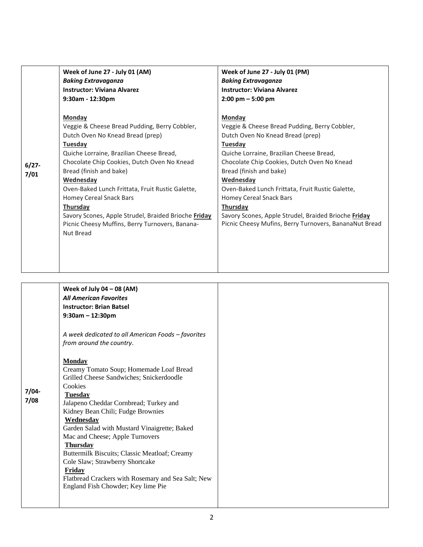|                  | Week of June 27 - July 01 (AM)<br><b>Baking Extravaganza</b><br><b>Instructor: Viviana Alvarez</b>                                                                                                                                                                                                                                                                                                                                                           | Week of June 27 - July 01 (PM)<br><b>Baking Extravaganza</b><br><b>Instructor: Viviana Alvarez</b>                                                                                                                                                                                                                                                                                                                                                            |
|------------------|--------------------------------------------------------------------------------------------------------------------------------------------------------------------------------------------------------------------------------------------------------------------------------------------------------------------------------------------------------------------------------------------------------------------------------------------------------------|---------------------------------------------------------------------------------------------------------------------------------------------------------------------------------------------------------------------------------------------------------------------------------------------------------------------------------------------------------------------------------------------------------------------------------------------------------------|
|                  | $9:30$ am - 12:30pm                                                                                                                                                                                                                                                                                                                                                                                                                                          | $2:00 \text{ pm} - 5:00 \text{ pm}$                                                                                                                                                                                                                                                                                                                                                                                                                           |
| $6/27 -$<br>7/01 | Monday<br>Veggie & Cheese Bread Pudding, Berry Cobbler,<br>Dutch Oven No Knead Bread (prep)<br>Tuesday<br>Quiche Lorraine, Brazilian Cheese Bread,<br>Chocolate Chip Cookies, Dutch Oven No Knead<br>Bread (finish and bake)<br>Wednesday<br>Oven-Baked Lunch Frittata, Fruit Rustic Galette,<br>Homey Cereal Snack Bars<br>Thursday<br>Savory Scones, Apple Strudel, Braided Brioche Friday<br>Picnic Cheesy Muffins, Berry Turnovers, Banana-<br>Nut Bread | <b>Monday</b><br>Veggie & Cheese Bread Pudding, Berry Cobbler,<br>Dutch Oven No Knead Bread (prep)<br>Tuesday<br>Quiche Lorraine, Brazilian Cheese Bread,<br>Chocolate Chip Cookies, Dutch Oven No Knead<br>Bread (finish and bake)<br>Wednesday<br>Oven-Baked Lunch Frittata, Fruit Rustic Galette,<br>Homey Cereal Snack Bars<br>Thursday<br>Savory Scones, Apple Strudel, Braided Brioche Friday<br>Picnic Cheesy Mufins, Berry Turnovers, BananaNut Bread |

|       | Week of July 04 $-$ 08 (AM)                                      |
|-------|------------------------------------------------------------------|
|       | <b>All American Favorites</b>                                    |
|       | <b>Instructor: Brian Batsel</b>                                  |
|       | $9:30$ am - 12:30pm                                              |
|       |                                                                  |
|       | A week dedicated to all American Foods - favorites               |
|       | from around the country.                                         |
|       |                                                                  |
|       | <b>Monday</b>                                                    |
|       | Creamy Tomato Soup; Homemade Loaf Bread                          |
|       | Grilled Cheese Sandwiches; Snickerdoodle                         |
|       | Cookies                                                          |
| 7/04- | <b>Tuesday</b>                                                   |
| 7/08  | Jalapeno Cheddar Cornbread; Turkey and                           |
|       | Kidney Bean Chili; Fudge Brownies                                |
|       | Wednesday                                                        |
|       | Garden Salad with Mustard Vinaigrette; Baked                     |
|       | Mac and Cheese; Apple Turnovers                                  |
|       | <b>Thursday</b><br>Buttermilk Biscuits; Classic Meatloaf; Creamy |
|       | Cole Slaw; Strawberry Shortcake                                  |
|       | Friday                                                           |
|       | Flatbread Crackers with Rosemary and Sea Salt; New               |
|       | England Fish Chowder; Key lime Pie                               |
|       |                                                                  |
|       |                                                                  |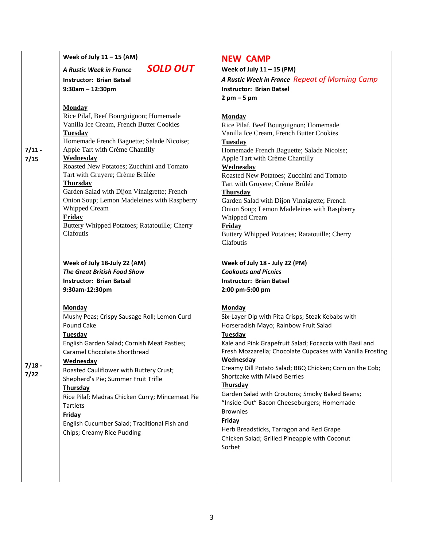| A Rustic Week in France Repeat of Morning Camp<br>Rice Pilaf, Beef Bourguignon; Homemade<br>Vanilla Ice Cream, French Butter Cookies<br>Homemade French Baguette; Salade Nicoise;<br>Roasted New Potatoes; Zucchini and Tomato<br>Garden Salad with Dijon Vinaigrette; French                                                                                                                                                                                               |
|-----------------------------------------------------------------------------------------------------------------------------------------------------------------------------------------------------------------------------------------------------------------------------------------------------------------------------------------------------------------------------------------------------------------------------------------------------------------------------|
|                                                                                                                                                                                                                                                                                                                                                                                                                                                                             |
|                                                                                                                                                                                                                                                                                                                                                                                                                                                                             |
|                                                                                                                                                                                                                                                                                                                                                                                                                                                                             |
|                                                                                                                                                                                                                                                                                                                                                                                                                                                                             |
| Onion Soup; Lemon Madeleines with Raspberry<br>Buttery Whipped Potatoes; Ratatouille; Cherry                                                                                                                                                                                                                                                                                                                                                                                |
| Six-Layer Dip with Pita Crisps; Steak Kebabs with<br>Horseradish Mayo; Rainbow Fruit Salad<br>Kale and Pink Grapefruit Salad; Focaccia with Basil and<br>Fresh Mozzarella; Chocolate Cupcakes with Vanilla Frosting<br>Creamy Dill Potato Salad; BBQ Chicken; Corn on the Cob;<br>Garden Salad with Croutons; Smoky Baked Beans;<br>"Inside-Out" Bacon Cheeseburgers; Homemade<br>Herb Breadsticks, Tarragon and Red Grape<br>Chicken Salad; Grilled Pineapple with Coconut |
|                                                                                                                                                                                                                                                                                                                                                                                                                                                                             |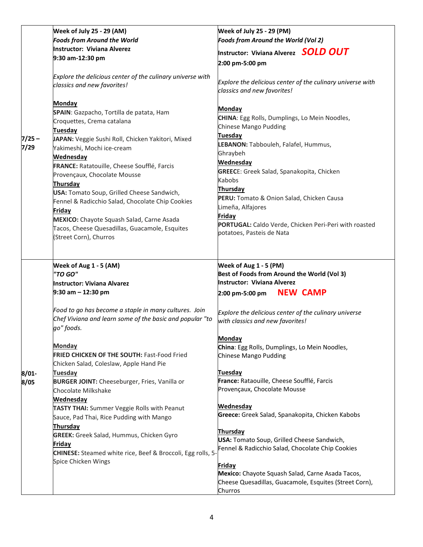|          | Week of July 25 - 29 (AM)                                         | <b>Week of July 25 - 29 (PM)</b>                                                          |
|----------|-------------------------------------------------------------------|-------------------------------------------------------------------------------------------|
|          | <b>Foods from Around the World</b>                                | Foods from Around the World (Vol 2)                                                       |
|          | <b>Instructor: Viviana Alverez</b>                                | Instructor: Viviana Alverez <b>SOLD OUT</b>                                               |
|          | 9:30 am-12:30 pm                                                  |                                                                                           |
|          |                                                                   | 2:00 pm-5:00 pm                                                                           |
|          | Explore the delicious center of the culinary universe with        |                                                                                           |
|          | classics and new favorites!                                       | Explore the delicious center of the culinary universe with                                |
|          |                                                                   | classics and new favorites!                                                               |
|          | <b>Monday</b>                                                     |                                                                                           |
|          | SPAIN: Gazpacho, Tortilla de patata, Ham                          | <b>Monday</b>                                                                             |
|          | Croquettes, Crema catalana                                        | CHINA: Egg Rolls, Dumplings, Lo Mein Noodles,                                             |
|          | <b>Tuesday</b>                                                    | <b>Chinese Mango Pudding</b>                                                              |
| $7/25 -$ | JAPAN: Veggie Sushi Roll, Chicken Yakitori, Mixed                 | <b>Tuesday</b>                                                                            |
| 7/29     | Yakimeshi, Mochi ice-cream                                        | LEBANON: Tabbouleh, Falafel, Hummus,                                                      |
|          | Wednesday                                                         | Ghraybeh                                                                                  |
|          | FRANCE: Ratatouille, Cheese Soufflé, Farcis                       | Wednesday                                                                                 |
|          | Provençaux, Chocolate Mousse                                      | <b>GREECE:</b> Greek Salad, Spanakopita, Chicken                                          |
|          | Thursday                                                          | Kabobs                                                                                    |
|          | USA: Tomato Soup, Grilled Cheese Sandwich,                        | Thursday                                                                                  |
|          | Fennel & Radicchio Salad, Chocolate Chip Cookies                  | PERU: Tomato & Onion Salad, Chicken Causa                                                 |
|          | Friday                                                            | Limeña, Alfajores                                                                         |
|          | MEXICO: Chayote Squash Salad, Carne Asada                         | Friday<br>PORTUGAL: Caldo Verde, Chicken Peri-Peri with roasted                           |
|          | Tacos, Cheese Quesadillas, Guacamole, Esquites                    | potatoes, Pasteis de Nata                                                                 |
|          | (Street Corn), Churros                                            |                                                                                           |
|          |                                                                   |                                                                                           |
|          | Week of Aug 1 - 5 (AM)                                            | Week of Aug 1 - 5 (PM)                                                                    |
|          | "TO GO"                                                           | Best of Foods from Around the World (Vol 3)                                               |
|          | <b>Instructor: Viviana Alvarez</b>                                | <b>Instructor: Viviana Alverez</b>                                                        |
|          | $9:30$ am $-12:30$ pm                                             | <b>NEW CAMP</b><br>2:00 pm-5:00 pm                                                        |
|          | Food to go has become a staple in many cultures. Join             |                                                                                           |
|          | Chef Viviana and learn some of the basic and popular "to          | Explore the delicious center of the culinary universe<br>with classics and new favorites! |
|          | go" foods.                                                        |                                                                                           |
|          |                                                                   | <b>Monday</b>                                                                             |
|          | <b>Monday</b>                                                     | China: Egg Rolls, Dumplings, Lo Mein Noodles,                                             |
|          | <b>FRIED CHICKEN OF THE SOUTH: Fast-Food Fried</b>                | <b>Chinese Mango Pudding</b>                                                              |
|          | Chicken Salad, Coleslaw, Apple Hand Pie                           |                                                                                           |
| $8/01 -$ | Tuesday                                                           | Tuesday                                                                                   |
| 8/05     | <b>BURGER JOINT:</b> Cheeseburger, Fries, Vanilla or              | France: Rataouille, Cheese Soufflé, Farcis                                                |
|          | Chocolate Milkshake                                               | Provençaux, Chocolate Mousse                                                              |
|          | <b>Wednesday</b>                                                  |                                                                                           |
|          | TASTY THAI: Summer Veggie Rolls with Peanut                       | Wednesday                                                                                 |
|          | Sauce, Pad Thai, Rice Pudding with Mango                          | Greece: Greek Salad, Spanakopita, Chicken Kabobs                                          |
|          | Thursday                                                          |                                                                                           |
|          | <b>GREEK:</b> Greek Salad, Hummus, Chicken Gyro                   | Thursday                                                                                  |
|          | <b>Friday</b>                                                     | USA: Tomato Soup, Grilled Cheese Sandwich,                                                |
|          | <b>CHINESE:</b> Steamed white rice, Beef & Broccoli, Egg rolls, 5 | Fennel & Radicchio Salad, Chocolate Chip Cookies                                          |
|          | Spice Chicken Wings                                               | Friday                                                                                    |
|          |                                                                   | Mexico: Chayote Squash Salad, Carne Asada Tacos,                                          |
|          |                                                                   | Cheese Quesadillas, Guacamole, Esquites (Street Corn),                                    |